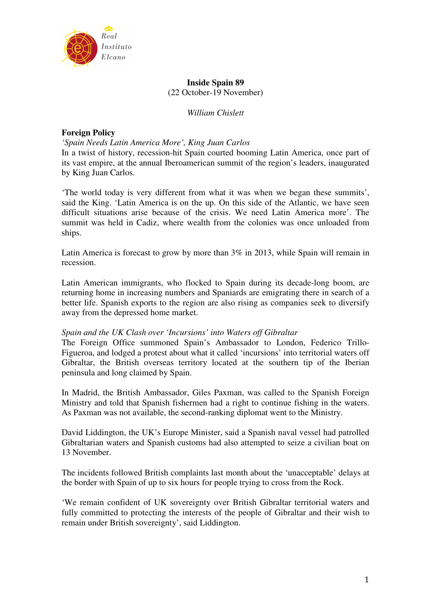

## **Inside Spain 89**  (22 October-19 November)

## *William Chislett*

## **Foreign Policy**

### *'Spain Needs Latin America More', King Juan Carlos*

In a twist of history, recession-hit Spain courted booming Latin America, once part of its vast empire, at the annual Iberoamerican summit of the region's leaders, inaugurated by King Juan Carlos.

'The world today is very different from what it was when we began these summits', said the King. 'Latin America is on the up. On this side of the Atlantic, we have seen difficult situations arise because of the crisis. We need Latin America more'. The summit was held in Cadiz, where wealth from the colonies was once unloaded from ships.

Latin America is forecast to grow by more than 3% in 2013, while Spain will remain in recession.

Latin American immigrants, who flocked to Spain during its decade-long boom, are returning home in increasing numbers and Spaniards are emigrating there in search of a better life. Spanish exports to the region are also rising as companies seek to diversify away from the depressed home market.

## *Spain and the UK Clash over 'Incursions' into Waters off Gibraltar*

The Foreign Office summoned Spain's Ambassador to London, Federico Trillo-Figueroa, and lodged a protest about what it called 'incursions' into territorial waters off Gibraltar, the British overseas territory located at the southern tip of the Iberian peninsula and long claimed by Spain.

In Madrid, the British Ambassador, Giles Paxman, was called to the Spanish Foreign Ministry and told that Spanish fishermen had a right to continue fishing in the waters. As Paxman was not available, the second-ranking diplomat went to the Ministry.

David Liddington, the UK's Europe Minister, said a Spanish naval vessel had patrolled Gibraltarian waters and Spanish customs had also attempted to seize a civilian boat on 13 November.

The incidents followed British complaints last month about the 'unacceptable' delays at the border with Spain of up to six hours for people trying to cross from the Rock.

'We remain confident of UK sovereignty over British Gibraltar territorial waters and fully committed to protecting the interests of the people of Gibraltar and their wish to remain under British sovereignty', said Liddington.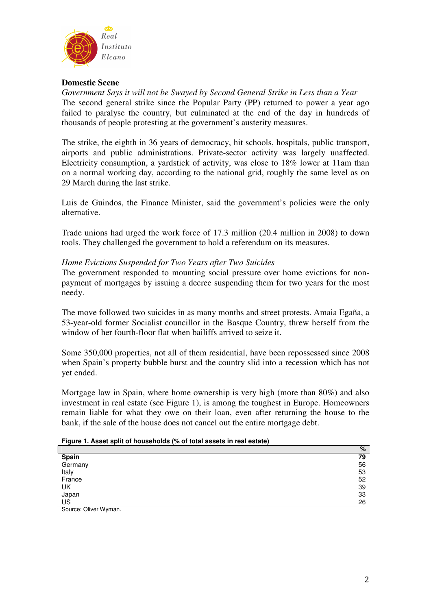

## **Domestic Scene**

*Government Says it will not be Swayed by Second General Strike in Less than a Year*  The second general strike since the Popular Party (PP) returned to power a year ago failed to paralyse the country, but culminated at the end of the day in hundreds of thousands of people protesting at the government's austerity measures.

The strike, the eighth in 36 years of democracy, hit schools, hospitals, public transport, airports and public administrations. Private-sector activity was largely unaffected. Electricity consumption, a yardstick of activity, was close to 18% lower at 11am than on a normal working day, according to the national grid, roughly the same level as on 29 March during the last strike.

Luis de Guindos, the Finance Minister, said the government's policies were the only alternative.

Trade unions had urged the work force of 17.3 million (20.4 million in 2008) to down tools. They challenged the government to hold a referendum on its measures.

## *Home Evictions Suspended for Two Years after Two Suicides*

The government responded to mounting social pressure over home evictions for nonpayment of mortgages by issuing a decree suspending them for two years for the most needy.

The move followed two suicides in as many months and street protests. Amaia Egaña, a 53-year-old former Socialist councillor in the Basque Country, threw herself from the window of her fourth-floor flat when bailiffs arrived to seize it.

Some 350,000 properties, not all of them residential, have been repossessed since 2008 when Spain's property bubble burst and the country slid into a recession which has not yet ended.

Mortgage law in Spain, where home ownership is very high (more than 80%) and also investment in real estate (see Figure 1), is among the toughest in Europe. Homeowners remain liable for what they owe on their loan, even after returning the house to the bank, if the sale of the house does not cancel out the entire mortgage debt.

#### **Figure 1. Asset split of households (% of total assets in real estate)**

|                                    | %  |
|------------------------------------|----|
| Spain                              | 79 |
| Germany                            | 56 |
| Italy                              | 53 |
| France                             | 52 |
| UK                                 | 39 |
| Japan                              | 33 |
| <b>US</b>                          | 26 |
| $\sim$ $\sim$ $\sim$ $\sim$ $\sim$ |    |

Source: Oliver Wyman.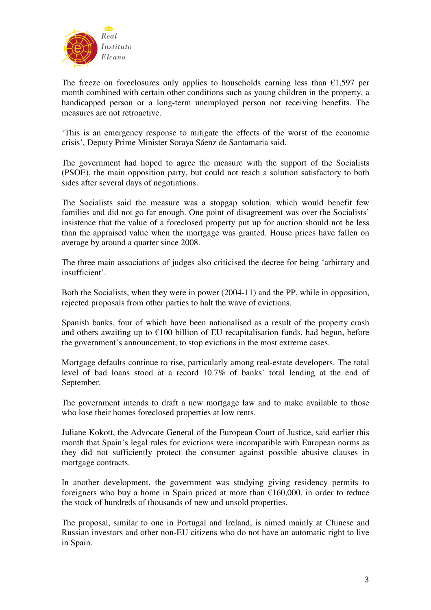

The freeze on foreclosures only applies to households earning less than  $\epsilon$ 1,597 per month combined with certain other conditions such as young children in the property, a handicapped person or a long-term unemployed person not receiving benefits. The measures are not retroactive.

'This is an emergency response to mitigate the effects of the worst of the economic crisis', Deputy Prime Minister Soraya Sáenz de Santamaria said.

The government had hoped to agree the measure with the support of the Socialists (PSOE), the main opposition party, but could not reach a solution satisfactory to both sides after several days of negotiations.

The Socialists said the measure was a stopgap solution, which would benefit few families and did not go far enough. One point of disagreement was over the Socialists' insistence that the value of a foreclosed property put up for auction should not be less than the appraised value when the mortgage was granted. House prices have fallen on average by around a quarter since 2008.

The three main associations of judges also criticised the decree for being 'arbitrary and insufficient'.

Both the Socialists, when they were in power (2004-11) and the PP, while in opposition, rejected proposals from other parties to halt the wave of evictions.

Spanish banks, four of which have been nationalised as a result of the property crash and others awaiting up to  $\epsilon$ 100 billion of EU recapitalisation funds, had begun, before the government's announcement, to stop evictions in the most extreme cases.

Mortgage defaults continue to rise, particularly among real-estate developers. The total level of bad loans stood at a record 10.7% of banks' total lending at the end of September.

The government intends to draft a new mortgage law and to make available to those who lose their homes foreclosed properties at low rents.

Juliane Kokott, the Advocate General of the European Court of Justice, said earlier this month that Spain's legal rules for evictions were incompatible with European norms as they did not sufficiently protect the consumer against possible abusive clauses in mortgage contracts.

In another development, the government was studying giving residency permits to foreigners who buy a home in Spain priced at more than  $\epsilon$ 160,000, in order to reduce the stock of hundreds of thousands of new and unsold properties.

The proposal, similar to one in Portugal and Ireland, is aimed mainly at Chinese and Russian investors and other non-EU citizens who do not have an automatic right to live in Spain.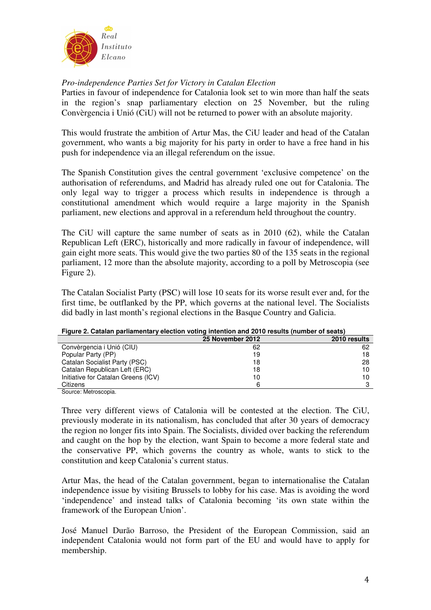

# *Pro-independence Parties Set for Victory in Catalan Election*

Parties in favour of independence for Catalonia look set to win more than half the seats in the region's snap parliamentary election on 25 November, but the ruling Convèrgencia i Unió (CiU) will not be returned to power with an absolute majority.

This would frustrate the ambition of Artur Mas, the CiU leader and head of the Catalan government, who wants a big majority for his party in order to have a free hand in his push for independence via an illegal referendum on the issue.

The Spanish Constitution gives the central government 'exclusive competence' on the authorisation of referendums, and Madrid has already ruled one out for Catalonia. The only legal way to trigger a process which results in independence is through a constitutional amendment which would require a large majority in the Spanish parliament, new elections and approval in a referendum held throughout the country.

The CiU will capture the same number of seats as in 2010 (62), while the Catalan Republican Left (ERC), historically and more radically in favour of independence, will gain eight more seats. This would give the two parties 80 of the 135 seats in the regional parliament, 12 more than the absolute majority, according to a poll by Metroscopia (see Figure 2).

The Catalan Socialist Party (PSC) will lose 10 seats for its worse result ever and, for the first time, be outflanked by the PP, which governs at the national level. The Socialists did badly in last month's regional elections in the Basque Country and Galicia.

| There is a balance particularly clocked required internet and forty results (intimetrial scale) |                  |              |  |
|-------------------------------------------------------------------------------------------------|------------------|--------------|--|
|                                                                                                 | 25 November 2012 | 2010 results |  |
| Convèrgencia i Unió (CIU)                                                                       | 62               | 62           |  |
| Popular Party (PP)                                                                              | 19               | 18           |  |
| Catalan Socialist Party (PSC)                                                                   | 18               | 28           |  |
| Catalan Republican Left (ERC)                                                                   | 18               | 10           |  |
| Initiative for Catalan Greens (ICV)                                                             | 10               | 10           |  |
| Citizens                                                                                        |                  | 3            |  |
| $\sim$ $\sim$ $\sim$ $\sim$ $\sim$                                                              |                  |              |  |

## **Figure 2. Catalan parliamentary election voting intention and 2010 results (number of seats)**

Source: Metroscopia.

Three very different views of Catalonia will be contested at the election. The CiU, previously moderate in its nationalism, has concluded that after 30 years of democracy the region no longer fits into Spain. The Socialists, divided over backing the referendum and caught on the hop by the election, want Spain to become a more federal state and the conservative PP, which governs the country as whole, wants to stick to the constitution and keep Catalonia's current status.

Artur Mas, the head of the Catalan government, began to internationalise the Catalan independence issue by visiting Brussels to lobby for his case. Mas is avoiding the word 'independence' and instead talks of Catalonia becoming 'its own state within the framework of the European Union'.

José Manuel Durão Barroso, the President of the European Commission, said an independent Catalonia would not form part of the EU and would have to apply for membership.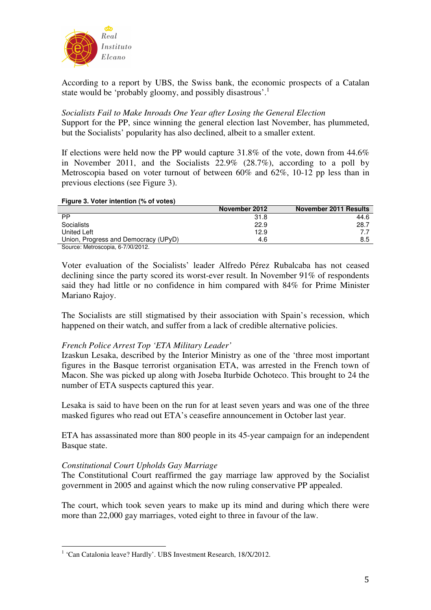

According to a report by UBS, the Swiss bank, the economic prospects of a Catalan state would be 'probably gloomy, and possibly disastrous'.<sup>1</sup>

# *Socialists Fail to Make Inroads One Year after Losing the General Election*

Support for the PP, since winning the general election last November, has plummeted, but the Socialists' popularity has also declined, albeit to a smaller extent.

If elections were held now the PP would capture 31.8% of the vote, down from 44.6% in November 2011, and the Socialists 22.9% (28.7%), according to a poll by Metroscopia based on voter turnout of between 60% and 62%, 10-12 pp less than in previous elections (see Figure 3).

### **Figure 3. Voter intention (% of votes)**

|                                      | November 2012 | November 2011 Results |
|--------------------------------------|---------------|-----------------------|
| PP                                   | 31.8          | 44.6                  |
| Socialists                           | 22.9          | 28.7                  |
| United Left                          | 12.9          |                       |
| Union, Progress and Democracy (UPyD) | 4.6           | 8.5                   |
| Source: Metroscopia 6-7/Y1/2012      |               |                       |

Source: Metroscopia, 6-7/XI/2012.

Voter evaluation of the Socialists' leader Alfredo Pérez Rubalcaba has not ceased declining since the party scored its worst-ever result. In November 91% of respondents said they had little or no confidence in him compared with 84% for Prime Minister Mariano Rajoy.

The Socialists are still stigmatised by their association with Spain's recession, which happened on their watch, and suffer from a lack of credible alternative policies.

## *French Police Arrest Top 'ETA Military Leader'*

Izaskun Lesaka, described by the Interior Ministry as one of the 'three most important figures in the Basque terrorist organisation ETA, was arrested in the French town of Macon. She was picked up along with Joseba Iturbide Ochoteco. This brought to 24 the number of ETA suspects captured this year.

Lesaka is said to have been on the run for at least seven years and was one of the three masked figures who read out ETA's ceasefire announcement in October last year.

ETA has assassinated more than 800 people in its 45-year campaign for an independent Basque state.

## *Constitutional Court Upholds Gay Marriage*

 $\overline{a}$ 

The Constitutional Court reaffirmed the gay marriage law approved by the Socialist government in 2005 and against which the now ruling conservative PP appealed.

The court, which took seven years to make up its mind and during which there were more than 22,000 gay marriages, voted eight to three in favour of the law.

<sup>&</sup>lt;sup>1</sup> 'Can Catalonia leave? Hardly'. UBS Investment Research, 18/X/2012.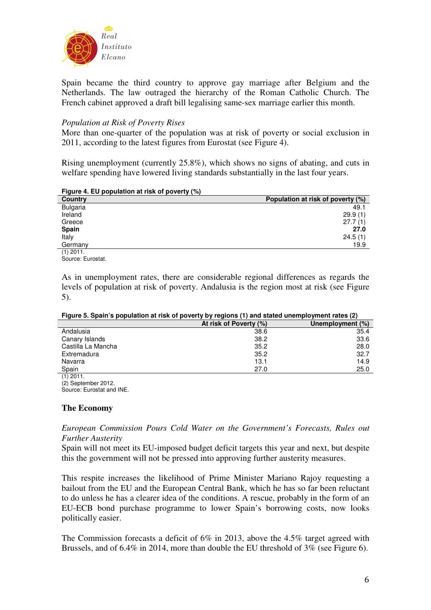

Spain became the third country to approve gay marriage after Belgium and the Netherlands. The law outraged the hierarchy of the Roman Catholic Church. The French cabinet approved a draft bill legalising same-sex marriage earlier this month.

## *Population at Risk of Poverty Rises*

More than one-quarter of the population was at risk of poverty or social exclusion in 2011, according to the latest figures from Eurostat (see Figure 4).

Rising unemployment (currently 25.8%), which shows no signs of abating, and cuts in welfare spending have lowered living standards substantially in the last four years.

| $\frac{1}{2}$ iguit $\frac{1}{2}$ . Lo population at how or poverty (70) |                                   |
|--------------------------------------------------------------------------|-----------------------------------|
| Country                                                                  | Population at risk of poverty (%) |
| Bulgaria                                                                 | 49.1                              |
| Ireland                                                                  | 29.9(1)                           |
| Greece                                                                   | 27.7(1)                           |
| <b>Spain</b>                                                             | 27.0                              |
| Italy                                                                    | 24.5(1)                           |
| Germany                                                                  | 19.9                              |
| $(1)$ 2011.                                                              |                                   |

**Figure 4. EU population at risk of poverty (%)** 

Source: Eurostat.

As in unemployment rates, there are considerable regional differences as regards the levels of population at risk of poverty. Andalusia is the region most at risk (see Figure 5).

| Figure 5. Spain's population at risk of poverty by regions (1) and stated unemployment rates (2) |  |  |  |
|--------------------------------------------------------------------------------------------------|--|--|--|
|                                                                                                  |  |  |  |

|                    | At risk of Poverty (%) | Unemployment (%) |  |
|--------------------|------------------------|------------------|--|
| Andalusia          | 38.6                   | 35.4             |  |
| Canary Islands     | 38.2                   | 33.6             |  |
| Castilla La Mancha | 35.2                   | 28.0             |  |
| Extremadura        | 35.2                   | 32.7             |  |
| Navarra            | 13.1                   | 14.9             |  |
| Spain              | 27.0                   | 25.0             |  |
| $(4)$ $0044$       |                        |                  |  |

(1) 2011. (2) September 2012.

Source: Eurostat and INE.

## **The Economy**

*European Commission Pours Cold Water on the Government's Forecasts, Rules out Further Austerity* 

Spain will not meet its EU-imposed budget deficit targets this year and next, but despite this the government will not be pressed into approving further austerity measures.

This respite increases the likelihood of Prime Minister Mariano Rajoy requesting a bailout from the EU and the European Central Bank, which he has so far been reluctant to do unless he has a clearer idea of the conditions. A rescue, probably in the form of an EU-ECB bond purchase programme to lower Spain's borrowing costs, now looks politically easier.

The Commission forecasts a deficit of 6% in 2013, above the 4.5% target agreed with Brussels, and of 6.4% in 2014, more than double the EU threshold of 3% (see Figure 6).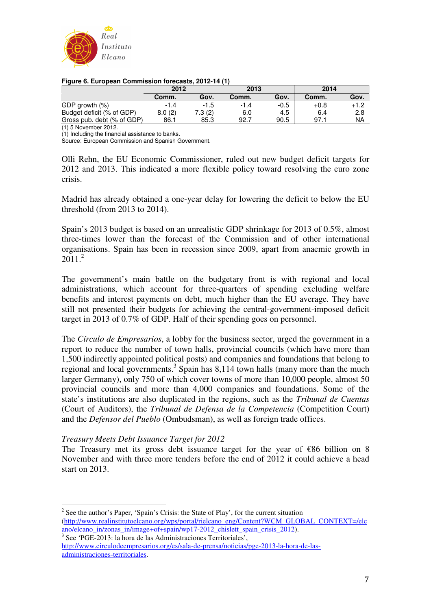

| Figure 6. European Commission forecasts, 2012-14 (1) |      |
|------------------------------------------------------|------|
| 2012                                                 | 2013 |

|                            | 2012   |        | 2013   |        | 2014   |      |
|----------------------------|--------|--------|--------|--------|--------|------|
|                            | Comm.  | Gov.   | Comm.  | Gov.   | Comm.  | Gov. |
| GDP growth (%)             | $-1.4$ | $-1.5$ | $-1.4$ | $-0.5$ | $+0.8$ | +1.2 |
| Budget deficit (% of GDP)  | 8.0(2) | 7.3(2) | 6.0    | 4.5    | 6.4    | 2.8  |
| Gross pub. debt (% of GDP) | 86.1   | 85.3   | 92.7   | 90.5   | 97.    | NA   |

(1) 5 November 2012.

(1) Including the financial assistance to banks.

Source: European Commission and Spanish Government.

Olli Rehn, the EU Economic Commissioner, ruled out new budget deficit targets for 2012 and 2013. This indicated a more flexible policy toward resolving the euro zone crisis.

Madrid has already obtained a one-year delay for lowering the deficit to below the EU threshold (from 2013 to 2014).

Spain's 2013 budget is based on an unrealistic GDP shrinkage for 2013 of 0.5%, almost three-times lower than the forecast of the Commission and of other international organisations. Spain has been in recession since 2009, apart from anaemic growth in  $2011<sup>2</sup>$ 

The government's main battle on the budgetary front is with regional and local administrations, which account for three-quarters of spending excluding welfare benefits and interest payments on debt, much higher than the EU average. They have still not presented their budgets for achieving the central-government-imposed deficit target in 2013 of 0.7% of GDP. Half of their spending goes on personnel.

The *Círculo de Empresarios*, a lobby for the business sector, urged the government in a report to reduce the number of town halls, provincial councils (which have more than 1,500 indirectly appointed political posts) and companies and foundations that belong to regional and local governments.<sup>3</sup> Spain has 8,114 town halls (many more than the much larger Germany), only 750 of which cover towns of more than 10,000 people, almost 50 provincial councils and more than 4,000 companies and foundations. Some of the state's institutions are also duplicated in the regions, such as the *Tribunal de Cuentas* (Court of Auditors), the *Tribunal de Defensa de la Competencia* (Competition Court) and the *Defensor del Pueblo* (Ombudsman), as well as foreign trade offices.

## *Treasury Meets Debt Issuance Target for 2012*

 $\overline{a}$ 

The Treasury met its gross debt issuance target for the year of  $\epsilon$ 86 billion on 8 November and with three more tenders before the end of 2012 it could achieve a head start on 2013.

 $2^2$  See the author's Paper, 'Spain's Crisis: the State of Play', for the current situation (http://www.realinstitutoelcano.org/wps/portal/rielcano\_eng/Content?WCM\_GLOBAL\_CONTEXT=/elc ano/elcano\_in/zonas\_in/image+of+spain/wp17-2012\_chislett\_spain\_crisis\_2012). 3 See 'PGE-2013: la hora de las Administraciones Territoriales',

http://www.circulodeempresarios.org/es/sala-de-prensa/noticias/pge-2013-la-hora-de-lasadministraciones-territoriales.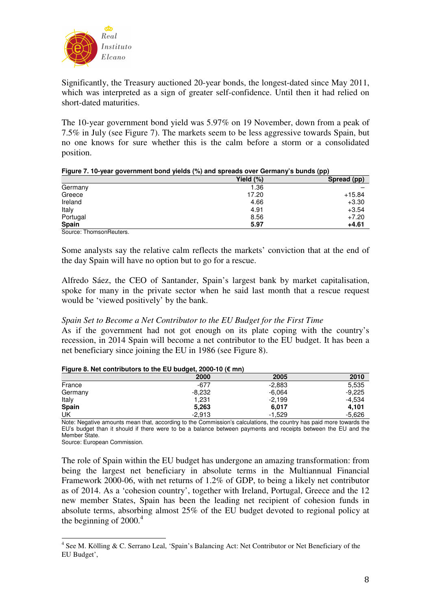

Significantly, the Treasury auctioned 20-year bonds, the longest-dated since May 2011, which was interpreted as a sign of greater self-confidence. Until then it had relied on short-dated maturities.

The 10-year government bond yield was 5.97% on 19 November, down from a peak of 7.5% in July (see Figure 7). The markets seem to be less aggressive towards Spain, but no one knows for sure whether this is the calm before a storm or a consolidated position.

|                         | Yield $(\%)$ | Spread (pp) |
|-------------------------|--------------|-------------|
| Germany                 | 1.36         |             |
| Greece                  | 17.20        | $+15.84$    |
| Ireland                 | 4.66         | $+3.30$     |
| Italy                   | 4.91         | $+3.54$     |
| Portugal                | 8.56         | $+7.20$     |
| Spain                   | 5.97         | $+4.61$     |
| Source: ThomsonReuters. |              |             |

#### **Figure 7. 10-year government bond yields (%) and spreads over Germany's bunds (pp)**

Some analysts say the relative calm reflects the markets' conviction that at the end of the day Spain will have no option but to go for a rescue.

Alfredo Sáez, the CEO of Santander, Spain's largest bank by market capitalisation, spoke for many in the private sector when he said last month that a rescue request would be 'viewed positively' by the bank.

## *Spain Set to Become a Net Contributor to the EU Budget for the First Time*

As if the government had not got enough on its plate coping with the country's recession, in 2014 Spain will become a net contributor to the EU budget. It has been a net beneficiary since joining the EU in 1986 (see Figure 8).

#### **Figure 8. Net contributors to the EU budget, 2000-10 (€ mn)**

|                                  |                                            | . .      |                           |
|----------------------------------|--------------------------------------------|----------|---------------------------|
|                                  | 2000                                       | 2005     | 2010                      |
| France                           | -677                                       | $-2,883$ | 5,535                     |
| Germany                          | $-8,232$                                   | $-6,064$ | $-9,225$                  |
| Italy                            | 1,231                                      | $-2,199$ | $-4,534$                  |
| <b>Spain</b>                     | 5,263                                      | 6,017    | 4,101                     |
| UK                               | $-2.913$                                   | $-1,529$ | $-5,626$                  |
| $\overline{\cdots}$<br>$\cdot$ . | $\mathbf{u}$<br>$\sim$ $\sim$<br>$\cdot$ . | .<br>.   | $\sim$<br>$\cdot$ $\cdot$ |

Note: Negative amounts mean that, according to the Commission's calculations, the country has paid more towards the EU's budget than it should if there were to be a balance between payments and receipts between the EU and the Member State.

Source: European Commission.

 $\overline{a}$ 

The role of Spain within the EU budget has undergone an amazing transformation: from being the largest net beneficiary in absolute terms in the Multiannual Financial Framework 2000-06, with net returns of 1.2% of GDP, to being a likely net contributor as of 2014. As a 'cohesion country', together with Ireland, Portugal, Greece and the 12 new member States, Spain has been the leading net recipient of cohesion funds in absolute terms, absorbing almost 25% of the EU budget devoted to regional policy at the beginning of  $2000<sup>4</sup>$ 

<sup>&</sup>lt;sup>4</sup> See M. Kölling & C. Serrano Leal, 'Spain's Balancing Act: Net Contributor or Net Beneficiary of the EU Budget',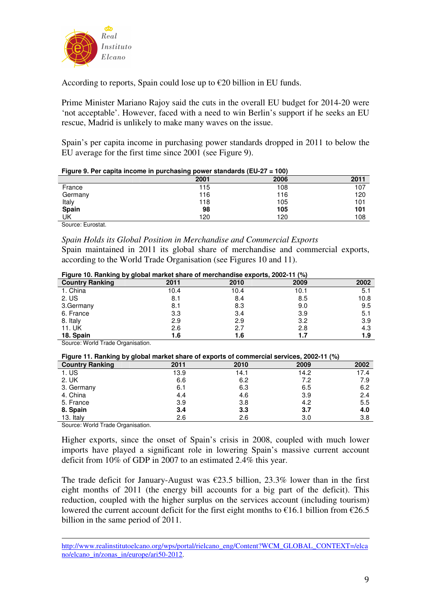

According to reports, Spain could lose up to  $\epsilon$ 20 billion in EU funds.

Prime Minister Mariano Rajoy said the cuts in the overall EU budget for 2014-20 were 'not acceptable'. However, faced with a need to win Berlin's support if he seeks an EU rescue, Madrid is unlikely to make many waves on the issue.

Spain's per capita income in purchasing power standards dropped in 2011 to below the EU average for the first time since 2001 (see Figure 9).

| $1.941$ $0.1$ of vapita modified in particularity points claimanted $(0.01)$ |      |      |      |
|------------------------------------------------------------------------------|------|------|------|
|                                                                              | 2001 | 2006 | 2011 |
| France                                                                       | 115  | 108  | 107  |
| Germany                                                                      | 116  | 116  | 120  |
| Italy                                                                        | 118  | 105  | 101  |
| Spain                                                                        | 98   | 105  | 101  |
| UK                                                                           | 120  | 120  | 108  |
|                                                                              |      |      |      |

| Figure 9. Per capita income in purchasing power standards (EU-27 = 100) |  |  |
|-------------------------------------------------------------------------|--|--|
|-------------------------------------------------------------------------|--|--|

Source: Eurostat.

*Spain Holds its Global Position in Merchandise and Commercial Exports* 

Spain maintained in 2011 its global share of merchandise and commercial exports, according to the World Trade Organisation (see Figures 10 and 11).

|  | Figure 10. Ranking by global market share of merchandise exports, 2002-11 (%) |
|--|-------------------------------------------------------------------------------|
|  |                                                                               |

| <b>There</b> is the maining wy grower mained enable of merchandice experte, <b>Even</b> in (79) |      |      |      |      |  |
|-------------------------------------------------------------------------------------------------|------|------|------|------|--|
| <b>Country Ranking</b>                                                                          | 2011 | 2010 | 2009 | 2002 |  |
| 1. China                                                                                        | 10.4 | 10.4 | 10.1 | 5.1  |  |
| 2. US                                                                                           | 8.1  | 8.4  | 8.5  | 10.8 |  |
| 3.Germany                                                                                       | 8.1  | 8.3  | 9.0  | 9.5  |  |
| 6. France                                                                                       | 3.3  | 3.4  | 3.9  | 5.1  |  |
| 8. Italy                                                                                        | 2.9  | 2.9  | 3.2  | 3.9  |  |
| 11. UK                                                                                          | 2.6  | 2.7  | 2.8  | 4.3  |  |
| 18. Spain                                                                                       | 1.6  | 1.6  | 1.7  | 1.9  |  |

Source: World Trade Organisation.

#### **Figure 11. Ranking by global market share of exports of commercial services, 2002-11 (%)**

| .                      |      |      |      |      |
|------------------------|------|------|------|------|
| <b>Country Ranking</b> | 2011 | 2010 | 2009 | 2002 |
| 1. US                  | 13.9 | 14.1 | 14.2 | 17.4 |
| 2. UK                  | 6.6  | 6.2  | 7.2  | 7.9  |
| 3. Germany             | 6.1  | 6.3  | 6.5  | 6.2  |
| 4. China               | 4.4  | 4.6  | 3.9  | 2.4  |
| 5. France              | 3.9  | 3.8  | 4.2  | 5.5  |
| 8. Spain               | 3.4  | 3.3  | 3.7  | 4.0  |
| 13. Italy              | 2.6  | 2.6  | 3.0  | 3.8  |
|                        |      |      |      |      |

Source: World Trade Organisation.

 $\overline{a}$ 

Higher exports, since the onset of Spain's crisis in 2008, coupled with much lower imports have played a significant role in lowering Spain's massive current account deficit from 10% of GDP in 2007 to an estimated 2.4% this year.

The trade deficit for January-August was  $\epsilon$ 23.5 billion, 23.3% lower than in the first eight months of 2011 (the energy bill accounts for a big part of the deficit). This reduction, coupled with the higher surplus on the services account (including tourism) lowered the current account deficit for the first eight months to  $\epsilon$ 16.1 billion from  $\epsilon$ 26.5 billion in the same period of 2011.

http://www.realinstitutoelcano.org/wps/portal/rielcano\_eng/Content?WCM\_GLOBAL\_CONTEXT=/elca no/elcano\_in/zonas\_in/europe/ari50-2012.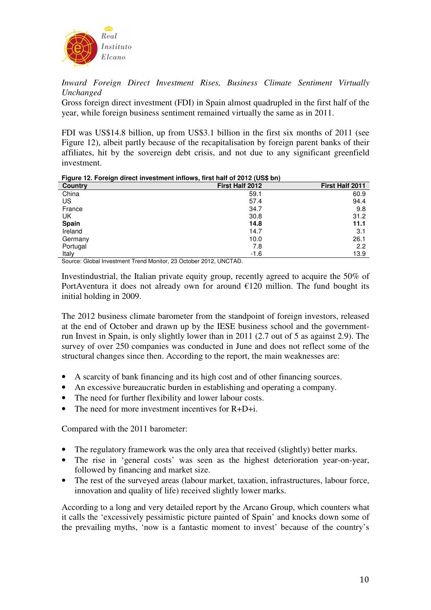

*Inward Foreign Direct Investment Rises, Business Climate Sentiment Virtually Unchanged* 

Gross foreign direct investment (FDI) in Spain almost quadrupled in the first half of the year, while foreign business sentiment remained virtually the same as in 2011.

FDI was US\$14.8 billion, up from US\$3.1 billion in the first six months of 2011 (see Figure 12), albeit partly because of the recapitalisation by foreign parent banks of their affiliates, hit by the sovereign debt crisis, and not due to any significant greenfield investment.

#### **Figure 12. Foreign direct investment inflows, first half of 2012 (US\$ bn)**

| $\sim$<br>-<br>Country | - 1<br>$  +$<br>First Half 2012 | First Half 2011 |
|------------------------|---------------------------------|-----------------|
| China                  | 59.1                            | 60.9            |
| US                     | 57.4                            | 94.4            |
| France                 | 34.7                            | 9.8             |
| UK                     | 30.8                            | 31.2            |
| Spain                  | 14.8                            | 11.1            |
| Ireland                | 14.7                            | 3.1             |
| Germany                | 10.0                            | 26.1            |
| Portugal               | 7.8                             | 2.2             |
| Italy                  | $-1.6$                          | 13.9            |

Source: Global Investment Trend Monitor, 23 October 2012, UNCTAD.

Investindustrial, the Italian private equity group, recently agreed to acquire the 50% of PortAventura it does not already own for around  $£120$  million. The fund bought its initial holding in 2009.

The 2012 business climate barometer from the standpoint of foreign investors, released at the end of October and drawn up by the IESE business school and the governmentrun Invest in Spain, is only slightly lower than in 2011 (2.7 out of 5 as against 2.9). The survey of over 250 companies was conducted in June and does not reflect some of the structural changes since then. According to the report, the main weaknesses are:

- A scarcity of bank financing and its high cost and of other financing sources.
- An excessive bureaucratic burden in establishing and operating a company.
- The need for further flexibility and lower labour costs.
- The need for more investment incentives for  $R+D+i$ .

Compared with the 2011 barometer:

- The regulatory framework was the only area that received (slightly) better marks.
- The rise in 'general costs' was seen as the highest deterioration year-on-year, followed by financing and market size.
- The rest of the surveyed areas (labour market, taxation, infrastructures, labour force, innovation and quality of life) received slightly lower marks.

According to a long and very detailed report by the Arcano Group, which counters what it calls the 'excessively pessimistic picture painted of Spain' and knocks down some of the prevailing myths, 'now is a fantastic moment to invest' because of the country's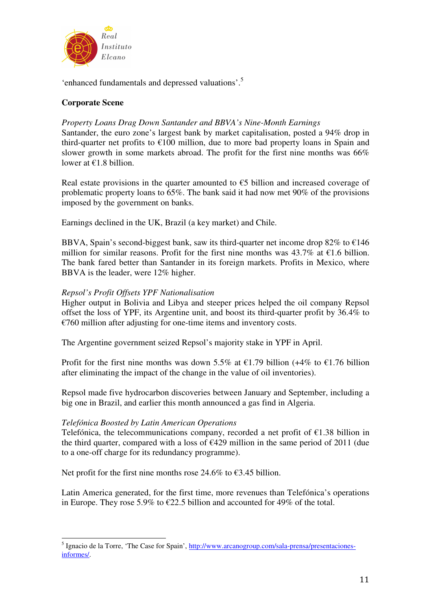

'enhanced fundamentals and depressed valuations'.<sup>5</sup>

## **Corporate Scene**

## *Property Loans Drag Down Santander and BBVA's Nine-Month Earnings*

Santander, the euro zone's largest bank by market capitalisation, posted a 94% drop in third-quarter net profits to  $\epsilon$ 100 million, due to more bad property loans in Spain and slower growth in some markets abroad. The profit for the first nine months was 66% lower at €1.8 billion.

Real estate provisions in the quarter amounted to  $\epsilon$ 5 billion and increased coverage of problematic property loans to 65%. The bank said it had now met 90% of the provisions imposed by the government on banks.

Earnings declined in the UK, Brazil (a key market) and Chile.

BBVA, Spain's second-biggest bank, saw its third-quarter net income drop  $82\%$  to  $\epsilon$ 146 million for similar reasons. Profit for the first nine months was  $43.7\%$  at  $\epsilon$ 1.6 billion. The bank fared better than Santander in its foreign markets. Profits in Mexico, where BBVA is the leader, were 12% higher.

## *Repsol's Profit Offsets YPF Nationalisation*

Higher output in Bolivia and Libya and steeper prices helped the oil company Repsol offset the loss of YPF, its Argentine unit, and boost its third-quarter profit by 36.4% to  $\epsilon$ 760 million after adjusting for one-time items and inventory costs.

The Argentine government seized Repsol's majority stake in YPF in April.

Profit for the first nine months was down 5.5% at €1.79 billion (+4% to €1.76 billion after eliminating the impact of the change in the value of oil inventories).

Repsol made five hydrocarbon discoveries between January and September, including a big one in Brazil, and earlier this month announced a gas find in Algeria.

## *Telefónica Boosted by Latin American Operations*

 $\overline{a}$ 

Telefónica, the telecommunications company, recorded a net profit of  $E1.38$  billion in the third quarter, compared with a loss of  $\epsilon$ 429 million in the same period of 2011 (due to a one-off charge for its redundancy programme).

Net profit for the first nine months rose 24.6% to  $\epsilon$ 3.45 billion.

Latin America generated, for the first time, more revenues than Telefónica's operations in Europe. They rose 5.9% to  $\epsilon$ 22.5 billion and accounted for 49% of the total.

<sup>&</sup>lt;sup>5</sup> Ignacio de la Torre, 'The Case for Spain', http://www.arcanogroup.com/sala-prensa/presentacionesinformes/.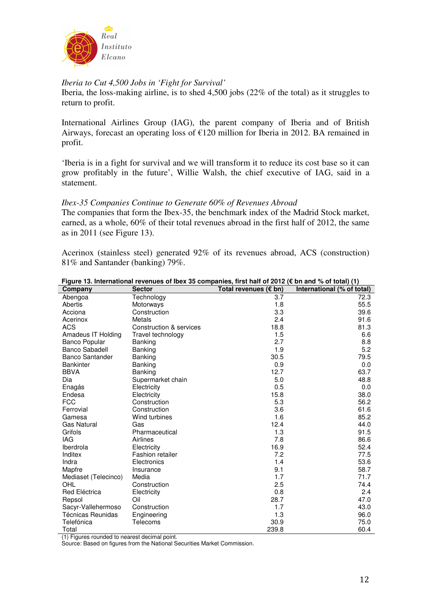

## *Iberia to Cut 4,500 Jobs in 'Fight for Survival'*

Iberia, the loss-making airline, is to shed 4,500 jobs (22% of the total) as it struggles to return to profit.

International Airlines Group (IAG), the parent company of Iberia and of British Airways, forecast an operating loss of €120 million for Iberia in 2012. BA remained in profit.

'Iberia is in a fight for survival and we will transform it to reduce its cost base so it can grow profitably in the future', Willie Walsh, the chief executive of IAG, said in a statement.

### *Ibex-35 Companies Continue to Generate 60% of Revenues Abroad*

The companies that form the Ibex-35, the benchmark index of the Madrid Stock market, earned, as a whole, 60% of their total revenues abroad in the first half of 2012, the same as in 2011 (see Figure 13).

Acerinox (stainless steel) generated 92% of its revenues abroad, ACS (construction) 81% and Santander (banking) 79%.

| Company                                                | <b>Sector</b>           | Total revenues (€ bn) | International (% of total) |
|--------------------------------------------------------|-------------------------|-----------------------|----------------------------|
| Abengoa                                                | Technology              | 3.7                   | 72.3                       |
| Abertis                                                | Motorways               | 1.8                   | 55.5                       |
| Acciona                                                | Construction            | 3.3                   | 39.6                       |
| Acerinox                                               | Metals                  | 2.4                   | 91.6                       |
| <b>ACS</b>                                             | Construction & services | 18.8                  | 81.3                       |
| Amadeus IT Holding                                     | Travel technology       | 1.5                   | 6.6                        |
| <b>Banco Popular</b>                                   | Banking                 | 2.7                   | 8.8                        |
| <b>Banco Sabadell</b>                                  | Banking                 | 1.9                   | 5.2                        |
| <b>Banco Santander</b>                                 | Banking                 | 30.5                  | 79.5                       |
| <b>Bankinter</b>                                       | Banking                 | 0.9                   | 0.0                        |
| <b>BBVA</b>                                            | Banking                 | 12.7                  | 63.7                       |
| Dia                                                    | Supermarket chain       | 5.0                   | 48.8                       |
| Enagás                                                 | Electricity             | 0.5                   | 0.0                        |
| Endesa                                                 | Electricity             | 15.8                  | 38.0                       |
| <b>FCC</b>                                             | Construction            | 5.3                   | 56.2                       |
| Ferrovial                                              | Construction            | 3.6                   | 61.6                       |
| Gamesa                                                 | Wind turbines           | 1.6                   | 85.2                       |
| <b>Gas Natural</b>                                     | Gas                     | 12.4                  | 44.0                       |
| Grifols                                                | Pharmaceutical          | 1.3                   | 91.5                       |
| <b>IAG</b>                                             | Airlines                | 7.8                   | 86.6                       |
| Iberdrola                                              | Electricity             | 16.9                  | 52.4                       |
| Inditex                                                | Fashion retailer        | 7.2                   | 77.5                       |
| Indra                                                  | Electronics             | 1.4                   | 53.6                       |
| Mapfre                                                 | Insurance               | 9.1                   | 58.7                       |
| Mediaset (Telecinco)                                   | Media                   | 1.7                   | 71.7                       |
| OHL                                                    | Construction            | 2.5                   | 74.4                       |
| Red Eléctrica                                          | Electricity             | 0.8                   | 2.4                        |
| Repsol                                                 | Oil                     | 28.7                  | 47.0                       |
| Sacyr-Vallehermoso                                     | Construction            | 1.7                   | 43.0                       |
| Técnicas Reunidas                                      | Engineering             | 1.3                   | 96.0                       |
| Telefónica                                             | Telecoms                | 30.9                  | 75.0                       |
| Total<br>(1)<br>$\mathbf{1}$ $\mathbf{1}$ $\mathbf{1}$ |                         | 239.8                 | 60.4                       |

## **Figure 13. International revenues of Ibex 35 companies, first half of 2012 (€ bn and % of total) (1)**

(1) Figures rounded to nearest decimal point.

Source: Based on figures from the National Securities Market Commission.